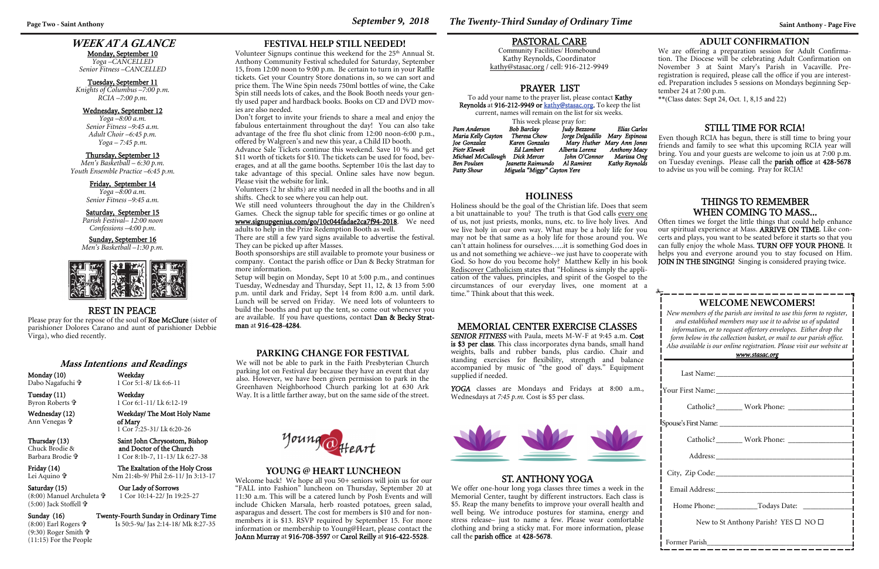## **WEEK AT A GLANCE**

#### Monday, September 10

*Yoga –CANCELLED Senior Fitness –CANCELLED* 

#### Tuesday, September 11

*Knights of Columbus –7:00 p.m. RCIA –7:00 p.m.* 

#### Wednesday, September 12

*Yoga –8:00 a.m. Senior Fitness –9:45 a.m. Adult Choir –6:45 p.m. Yoga – 7:45 p.m.* 

#### Thursday, September 13

*Men's Basketball – 6:30 p.m. Youth Ensemble Practice –6:45 p.m.* 

#### Friday, September 14

*Yoga –8:00 a.m. Senior Fitness –9:45 a.m.* 

#### Saturday, September 15

*Parish Festival– 12:00 noon Confessions –4:00 p.m.* 

#### Sunday, September 16

*Men's Basketball –1:30 p.m.* 



## **WELCOME NEWCOMERS!**

*New members of the parish are invited to use this form to register, and established members may use it to advise us of updated information, or to request offertory envelopes. Either drop the form below in the collection basket, or mail to our parish office. Also available is our online registration. Please visit our website at* 

Please pray for the repose of the soul of Roe McClure (sister of parishioner Dolores Carano and aunt of parishioner Debbie Virga), who died recently.

Thursday (13) Saint John Chrysostom, Bishop<br>Chuck Brodie & and Doctor of the Church Chuck Brodie & **and Doctor of the Church** 1 Cor 8:1b-7, 11-13/ Lk 6:27-38

Friday (14) The Exaltation of the Holy Cross Nm 21:4b-9/ Phil 2:6-11/ Jn 3:13-17

Saturday (15) Cur Lady of Sorrows 1 Cor 10:14-22/ Jn 19:25-27

 $(8:00)$  Earl Rogers  $\mathbf{\hat{\mathbf{\hat{r}}}}$ (9:30) Roger Smith **†** (11:15) For the People

| <u>www.stasac.org</u>                                                                                                                                                                                                          |  |  |  |
|--------------------------------------------------------------------------------------------------------------------------------------------------------------------------------------------------------------------------------|--|--|--|
|                                                                                                                                                                                                                                |  |  |  |
|                                                                                                                                                                                                                                |  |  |  |
|                                                                                                                                                                                                                                |  |  |  |
|                                                                                                                                                                                                                                |  |  |  |
| Catholic? Work Phone: Volume Phone Phone Phone Phone Phone Phone Phone Phone Phone Phone Phone Phone Phone Phone Phone Phone Phone Phone Phone Phone Phone Phone Phone Phone Phone Phone Phone Phone Phone Phone Phone Phone P |  |  |  |
|                                                                                                                                                                                                                                |  |  |  |
|                                                                                                                                                                                                                                |  |  |  |
|                                                                                                                                                                                                                                |  |  |  |
|                                                                                                                                                                                                                                |  |  |  |
| New to St Anthony Parish? YES $\square$ NO $\square$                                                                                                                                                                           |  |  |  |
| Former Parish                                                                                                                                                                                                                  |  |  |  |

Often times we forget the little things that could help enhance our spiritual experience at Mass. ARRIVE ON TIME. Like concerts and plays, you want to be seated before it starts so that you can fully enjoy the whole Mass. TURN OFF YOUR PHONE. It helps you and everyone around you to stay focused on Him. JOIN IN THE SINGING! Singing is considered praying twice.

## REST IN PEACE

#### **Mass Intentions and Readings**

Monday (10) Weekday Dabo Nagafuchi

1 Cor 5:1-8/ Lk 6:6-11

Tuesday (11) Weekday Byron Roberts

1 Cor 6:1-11/ Lk 6:12-19

Welcome back! We hope all you 50+ seniors will join us for our "FALL into Fashion" luncheon on Thursday, September 20 at 11:30 a.m. This will be a catered lunch by Posh Events and will include Chicken Marsala, herb roasted potatoes, green salad, asparagus and dessert. The cost for members is \$10 and for nonmembers it is \$13. RSVP required by September 15. For more information or membership to Young@Heart, please contact the JoAnn Murray at 916-708-3597 or Carol Reilly at 916-422-5528.

**Page Two - Saint Anthony September 9, 2018** *The Twenty-Third Sunday of Ordinary Time**Saint Anthony - Page Five* 

Wednesday (12) Weekday/ The Most Holy Name of Mary 1 Cor 7:25-31/ Lk 6:20-26

Ann Venegas

Barbara Brodie

Lei Aquino

## (8:00) Manuel Archuleta (5:00) Jack Stoffell

#### Sunday (16) Twenty-Fourth Sunday in Ordinary Time

Is 50:5-9a/ Jas 2:14-18/ Mk 8:27-35

#### MEMORIAL CENTER EXERCISE CLASSES

*SENIOR FITNESS* with Paula, meets M-W-F at 9:45 a.m. Cost is \$3 per class. This class incorporates dyna bands, small hand weights, balls and rubber bands, plus cardio. Chair and standing exercises for flexibility, strength and balance accompanied by music of "the good ol' days." Equipment <sup>s</sup>upplied if needed.

Volunteer Signups continue this weekend for the 25<sup>th</sup> Annual St. Anthony Community Festival scheduled for Saturday, September 15, from 12:00 noon to 9:00 p.m. Be certain to turn in your Raffle tickets. Get your Country Store donations in, so we can sort and price them. The Wine Spin needs 750ml bottles of wine, the Cake Spin still needs lots of cakes, and the Book Booth needs your gently used paper and hardback books. Books on CD and DVD movies are also needed.

> *YOGA* classes are Mondays and Fridays at 8:00 a.m., Wednesdays at *7:45 p.m.* Cost is \$5 per class.



## THINGS TO REMEMBER WHEN COMING TO MASS...

#### **YOUNG @ HEART LUNCHEON**

## STILL TIME FOR RCIA!

To add your name to the prayer list, please contact Kathy Reynolds at 916-212-9949 or kathy@stasac.org. To keep the list current, names will remain on the list for six weeks.

> Even though RCIA has begun, there is still time to bring your friends and family to see what this upcoming RCIA year will bring. You and your guests are welcome to join us at 7:00 p.m. on Tuesday evenings. Please call the parish office at 428-5678 to advise us you will be coming. Pray for RCIA!

## **ADULT CONFIRMATION**

We are offering a preparation session for Adult Confirmation. The Diocese will be celebrating Adult Confirmation on November 3 at Saint Mary's Parish in Vacaville. Preregistration is required, please call the office if you are interested. Preparation includes 5 sessions on Mondays beginning September 24 at 7:00 p.m.

\*\*(Class dates: Sept 24, Oct. 1, 8,15 and 22)

## ST. ANTHONY YOGA

We offer one-hour long yoga classes three times a week in the Memorial Center, taught by different instructors. Each class is \$5. Reap the many benefits to improve your overall health and well being. We introduce postures for stamina, energy and stress release– just to name a few. Please wear comfortable clothing and bring a sticky mat. For more information, please call the parish office at 428-5678.

**FESTIVAL HELP STILL NEEDED!** 

Don't forget to invite your friends to share a meal and enjoy the fabulous entertainment throughout the day! You can also take advantage of the free flu shot clinic from 12:00 noon-6:00 p.m., offered by Walgreen's and new this year, a Child ID booth.

Advance Sale Tickets continue this weekend. Save 10 % and get \$11 worth of tickets for \$10. The tickets can be used for food, beverages, and at all the game booths. September 10 is the last day to take advantage of this special. Online sales have now begun. Please visit the website for link.

Volunteers (2 hr shifts) are still needed in all the booths and in all shifts. Check to see where you can help out.

We still need volunteers throughout the day in the Children's Games. Check the signup table for specific times or go online at www.signupgenius.com/go/10c044fadae2ca7f94-2018. We need

adults to help in the Prize Redemption Booth as well.

There are still a few yard signs available to advertise the festival. They can be picked up after Masses.

Booth sponsorships are still available to promote your business or company. Contact the parish office or Dan & Becky Stratman for more information.

Setup will begin on Monday, Sept 10 at 5:00 p.m., and continues Tuesday, Wednesday and Thursday, Sept 11, 12, & 13 from 5:00 p.m. until dark and Friday, Sept 14 from 8:00 a.m. until dark. Lunch will be served on Friday. We need lots of volunteers to build the booths and put up the tent, so come out whenever you are available. If you have questions, contact Dan & Becky Stratman at 916-428-4284.

## **HOLINESS**

Holiness should be the goal of the Christian life. Does that seem a bit unattainable to you? The truth is that God calls every one of us, not just priests, monks, nuns, etc. to live holy lives. And we live holy in our own way. What may be a holy life for you may not be that same as a holy life for those around you. We can't attain holiness for ourselves…..it is something God does in us and not something we achieve--we just have to cooperate with God. So how do you become holy? Matthew Kelly in his book Rediscover Catholicism states that "Holiness is simply the application of the values, principles, and spirit of the Gospel to the circumstances of our everyday lives, one moment at a time." Think about that this week.

## PRAYER LIST

| www.comunity.com/2010/07/2010 10:00 10:00 10:00 10:00 10:00 10:00:00 10:00:00 10:00:00 10:00:00 10:00:00 10:00 |                             |                  |                            |  |
|----------------------------------------------------------------------------------------------------------------|-----------------------------|------------------|----------------------------|--|
| This week please pray for:                                                                                     |                             |                  |                            |  |
| Pam Anderson                                                                                                   | Bob Barclay                 | Judy Bezzone     | Elias Carlos               |  |
| Maria Kelly Cayton                                                                                             | Theresa Chow                | Jorge Delgadillo | Mary Espinosa              |  |
| Joe Gonzalez                                                                                                   | Karen Gonzales              |                  | Mary Huther Mary Ann Jones |  |
| Piotr Klewek                                                                                                   | Ed Lambert                  | Alberta Lorenz   | <b>Anthony Macy</b>        |  |
| Michael McCullough                                                                                             | Dick Mercer                 | John O'Connor    | Marissa Ong                |  |
| Ben Poulsen                                                                                                    | Jeanette Raimundo           | Al Ramirez       | Kathy Reynolds             |  |
| Patty Shour                                                                                                    | Miguela "Miggy" Cayton Yere |                  |                            |  |

#### PASTORAL CARE

Community Facilities/ Homebound Kathy Reynolds, Coordinator kathy@stasac.org / cell: 916-212-9949

#### **PARKING CHANGE FOR FESTIVAL**

We will not be able to park in the Faith Presbyterian Church parking lot on Festival day because they have an event that day also. However, we have been given permission to park in the Greenhaven Neighborhood Church parking lot at 630 Ark Way. It is a little farther away, but on the same side of the street.